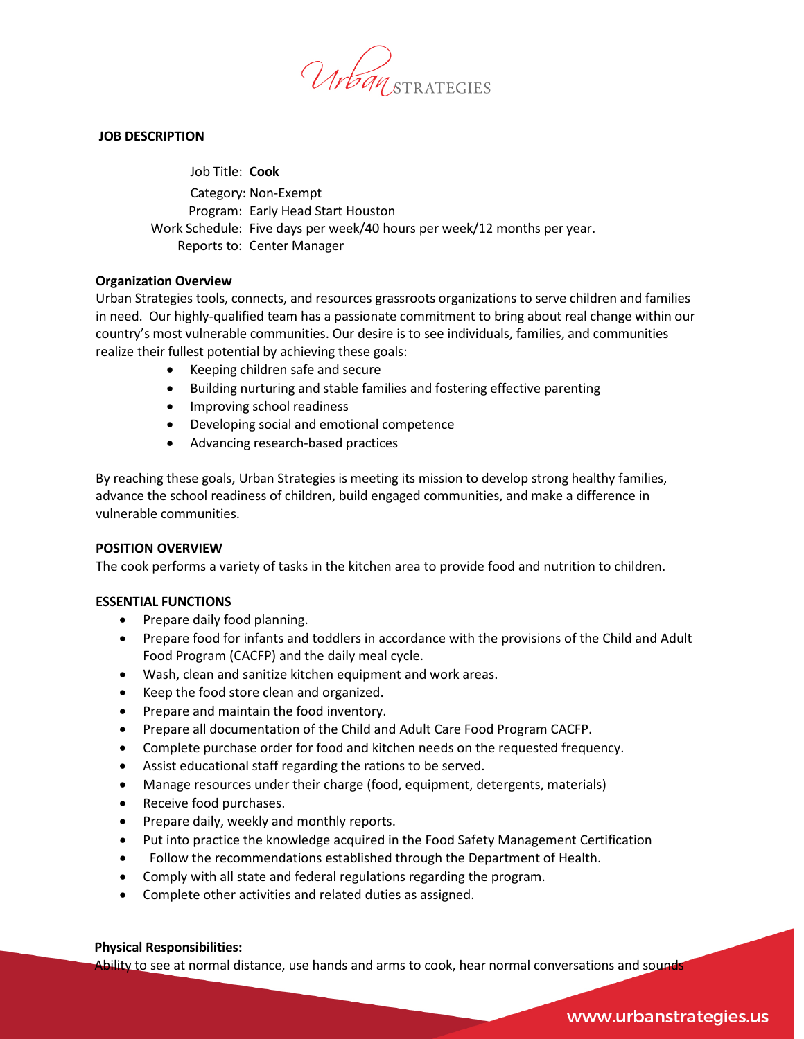

### **JOB DESCRIPTION**

Job Title: **Cook** Category: Non-Exempt Program: Early Head Start Houston Work Schedule: Five days per week/40 hours per week/12 months per year. Reports to: Center Manager

### **Organization Overview**

Urban Strategies tools, connects, and resources grassroots organizations to serve children and families in need. Our highly-qualified team has a passionate commitment to bring about real change within our country's most vulnerable communities. Our desire is to see individuals, families, and communities realize their fullest potential by achieving these goals:

- Keeping children safe and secure
- Building nurturing and stable families and fostering effective parenting
- Improving school readiness
- Developing social and emotional competence
- Advancing research-based practices

By reaching these goals, Urban Strategies is meeting its mission to develop strong healthy families, advance the school readiness of children, build engaged communities, and make a difference in vulnerable communities.

### **POSITION OVERVIEW**

The cook performs a variety of tasks in the kitchen area to provide food and nutrition to children.

### **ESSENTIAL FUNCTIONS**

- Prepare daily food planning.
- Prepare food for infants and toddlers in accordance with the provisions of the Child and Adult Food Program (CACFP) and the daily meal cycle.
- Wash, clean and sanitize kitchen equipment and work areas.
- Keep the food store clean and organized.
- Prepare and maintain the food inventory.
- Prepare all documentation of the Child and Adult Care Food Program CACFP.
- Complete purchase order for food and kitchen needs on the requested frequency.
- Assist educational staff regarding the rations to be served.
- Manage resources under their charge (food, equipment, detergents, materials)
- Receive food purchases.
- Prepare daily, weekly and monthly reports.
- Put into practice the knowledge acquired in the Food Safety Management Certification
- Follow the recommendations established through the Department of Health.
- Comply with all state and federal regulations regarding the program.
- Complete other activities and related duties as assigned.

### **Physical Responsibilities:**

Ability to see at normal distance, use hands and arms to cook, hear normal conversations and sounds

## www.urbanstrategies.us

Urban Strategies HR 2019 – OHS/EHS